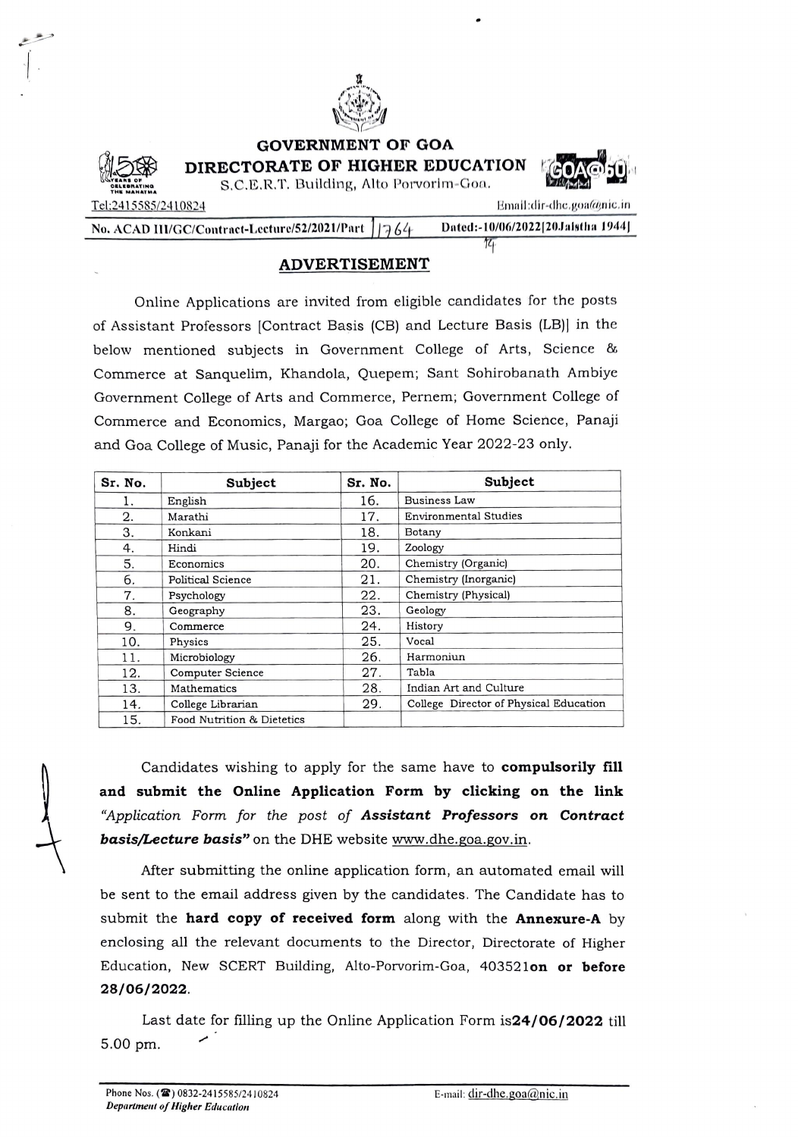

GOVERNMENT Or GOA

DIRECTORATE OF HIGHER EDUCATION S.C.E.R.T. Building, Alto Porvorim-Goa.



THE MAHATMA Tel:2415585/2410824<br>No. ACAD III/GC/Contract-Lecture/52/2021/Part 11764 Dated:-10/06/2022[20Jaistha 1944] No. ACAD III/GC/Contract-Lecture/52/2021/Part  $1/764$  Dated:-10/ $\frac{1}{14}$ 

## ADVERTISEMENT

Online Applications are invited from eligible candidates for the posts of Assistant Professors [Contract Basis (CB) and Lecture Basis (LB)] in the below mentioned subjects in Government College of Arts, Science & Commerce at Sanquelim, Khandola, Quepem; Sant Sohirobanath Ambiye Government College of Arts and Commerce, Pernem; Government College of Commerce and Economics, Margao; Goa College of Home Science, Panaji and Goa College of Music, Panaji for the Academic Year 2022-23 only

| Sr. No. | Subject                    | Sr. No. | Subject                                |
|---------|----------------------------|---------|----------------------------------------|
| 1.      | English                    | 16.     | Business Law                           |
| 2.      | Marathi                    | 17.     | <b>Environmental Studies</b>           |
| 3.      | Konkani                    | 18.     | Botany                                 |
| 4.      | Hindi                      | 19.     | Zoology                                |
| 5.      | Economics                  | 20.     | Chemistry (Organic)                    |
| 6.      | Political Science          | 21.     | Chemistry (Inorganic)                  |
| 7.      | Psychology                 | 22.     | Chemistry (Physical)                   |
| 8.      | Geography                  | 23.     | Geology                                |
| 9.      | Commerce                   | 24.     | History                                |
| 10.     | Physics                    | 25.     | Vocal                                  |
| 11.     | Microbiology               | 26.     | Harmoniun                              |
| 12.     | Computer Science           | 27.     | Tabla                                  |
| 13.     | Mathematics                | 28.     | Indian Art and Culture                 |
| 14.     | College Librarian          | 29.     | College Director of Physical Education |
| 15.     | Food Nutrition & Dietetics |         |                                        |

Candidates wishing to apply for the same have to compulsorily fill and submit the Online Application Form by clicking on the link "Application Form for the post of Assistant Professors on Contract basis/Lecture basis" on the DHE website www.dhe.goa.gov.in.

After submitting the online application form, an automated email will be sent to the email address given by the candidates. The Candidate has to submit the hard copy of received form along with the Annexure-A by enclosing all the relevant documents to the Director, Directorate of Higher Education, New SCERT Building, Alto-Porvorim-Goa, 403521on or before 28/06/2022.

Last date for filling up the Online Application Form is24/06/2022 till 5.00 pm.